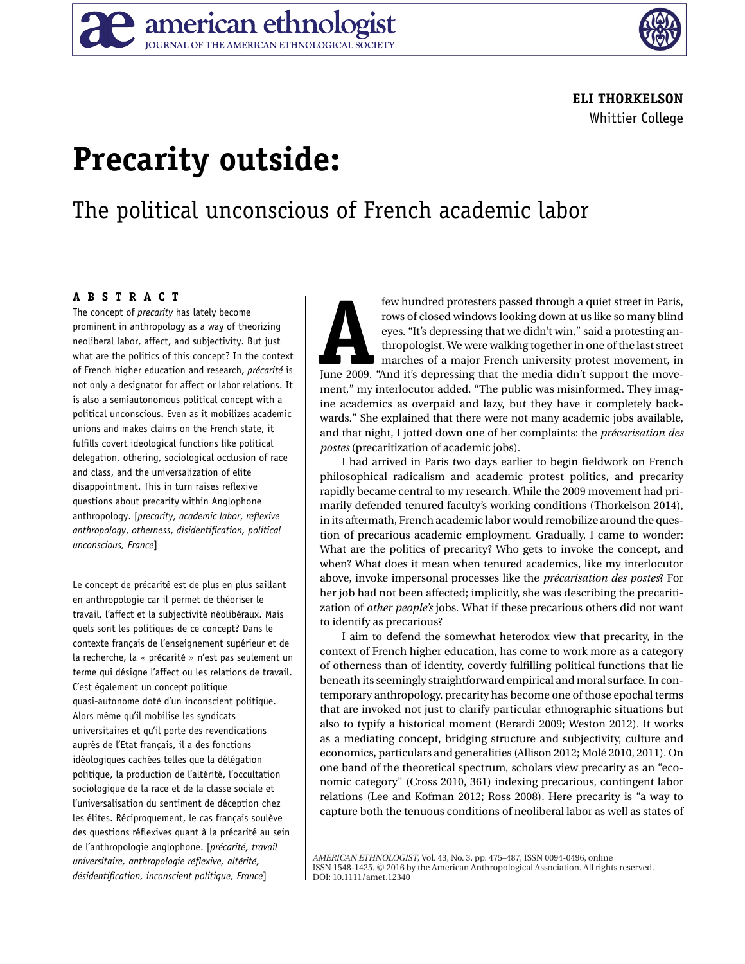

**ELI THORKELSON** Whittier College

# **Precarity outside:**

# The political unconscious of French academic labor

# **ABSTRACT**

The concept of *precarity* has lately become prominent in anthropology as a way of theorizing neoliberal labor, affect, and subjectivity. But just what are the politics of this concept? In the context of French higher education and research, *précarité* is not only a designator for affect or labor relations. It is also a semiautonomous political concept with a political unconscious. Even as it mobilizes academic unions and makes claims on the French state, it fulfills covert ideological functions like political delegation, othering, sociological occlusion of race and class, and the universalization of elite disappointment. This in turn raises reflexive questions about precarity within Anglophone anthropology. [*precarity*, *academic labor*, *reflexive anthropology*, *otherness*, *disidentification, political unconscious, France*]

Le concept de précarité est de plus en plus saillant en anthropologie car il permet de theoriser le ´ travail, l'affect et la subjectivité néolibéraux. Mais quels sont les politiques de ce concept? Dans le contexte français de l'enseignement supérieur et de la recherche, la « précarité » n'est pas seulement un terme qui désigne l'affect ou les relations de travail. C'est également un concept politique quasi-autonome dote d'un inconscient politique. ´ Alors même qu'il mobilise les syndicats universitaires et qu'il porte des revendications auprès de l'Etat français, il a des fonctions idéologiques cachées telles que la délégation politique, la production de l'altérité, l'occultation sociologique de la race et de la classe sociale et l'universalisation du sentiment de déception chez les élites. Réciproquement, le cas français soulève des questions réflexives quant à la précarité au sein de l'anthropologie anglophone. [*precarit ´ e, travail ´ universitaire, anthropologie réflexive, altérité, desidentification, inconscient politique, France ´* ]

few hundred protesters passed through a quiet street in Paris,<br>
rows of closed windows looking down at us like so many blind<br>
eyes. "It's depressing that we didn't win," said a protesting an-<br>
thropologist. We were walking rows of closed windows looking down at us like so many blind eyes. "It's depressing that we didn't win," said a protesting anthropologist. We were walking together in one of the last street marches of a major French university protest movement, in ment," my interlocutor added. "The public was misinformed. They imagine academics as overpaid and lazy, but they have it completely backwards." She explained that there were not many academic jobs available, and that night, I jotted down one of her complaints: the *precarisation des ´ postes* (precaritization of academic jobs).

I had arrived in Paris two days earlier to begin fieldwork on French philosophical radicalism and academic protest politics, and precarity rapidly became central to my research. While the 2009 movement had primarily defended tenured faculty's working conditions (Thorkelson 2014), in its aftermath, French academic labor would remobilize around the question of precarious academic employment. Gradually, I came to wonder: What are the politics of precarity? Who gets to invoke the concept, and when? What does it mean when tenured academics, like my interlocutor above, invoke impersonal processes like the *precarisation des postes ´* ? For her job had not been affected; implicitly, she was describing the precaritization of *other people's* jobs. What if these precarious others did not want to identify as precarious?

I aim to defend the somewhat heterodox view that precarity, in the context of French higher education, has come to work more as a category of otherness than of identity, covertly fulfilling political functions that lie beneath its seemingly straightforward empirical and moral surface. In contemporary anthropology, precarity has become one of those epochal terms that are invoked not just to clarify particular ethnographic situations but also to typify a historical moment (Berardi 2009; Weston 2012). It works as a mediating concept, bridging structure and subjectivity, culture and economics, particulars and generalities (Allison 2012; Molé 2010, 2011). On one band of the theoretical spectrum, scholars view precarity as an "economic category" (Cross 2010, 361) indexing precarious, contingent labor relations (Lee and Kofman 2012; Ross 2008). Here precarity is "a way to capture both the tenuous conditions of neoliberal labor as well as states of

*AMERICAN ETHNOLOGIST*, Vol. 43, No. 3, pp. 475–487, ISSN 0094-0496, online ISSN 1548-1425. © 2016 by the American Anthropological Association. All rights reserved. DOI: 10.1111/amet.12340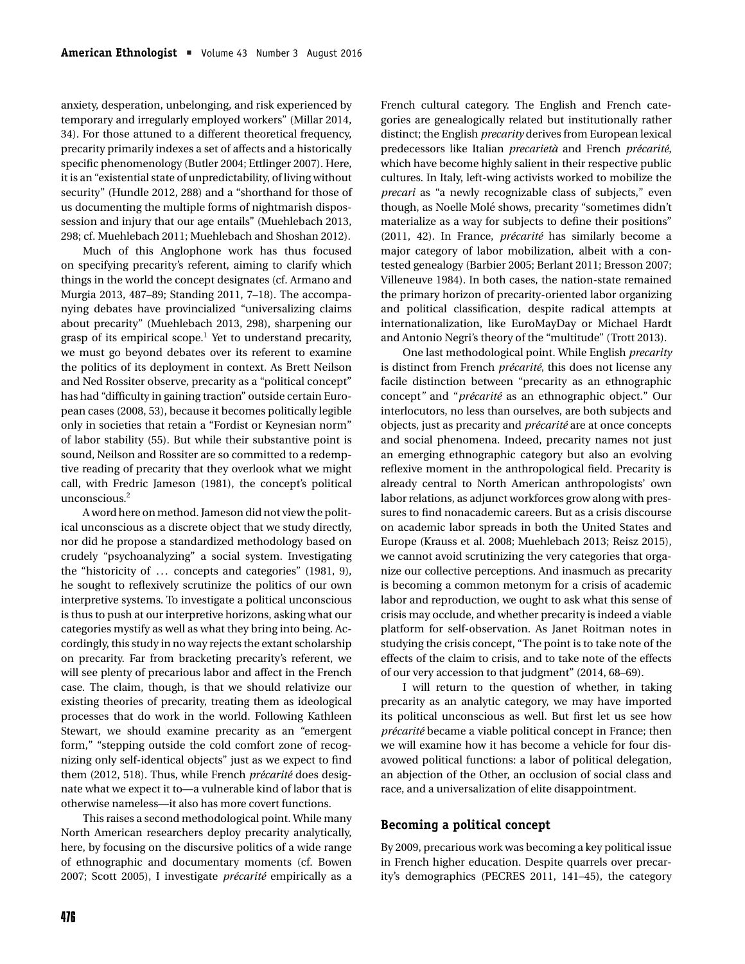anxiety, desperation, unbelonging, and risk experienced by temporary and irregularly employed workers" (Millar 2014, 34). For those attuned to a different theoretical frequency, precarity primarily indexes a set of affects and a historically specific phenomenology (Butler 2004; Ettlinger 2007). Here, it is an "existential state of unpredictability, of living without security" (Hundle 2012, 288) and a "shorthand for those of us documenting the multiple forms of nightmarish dispossession and injury that our age entails" (Muehlebach 2013, 298; cf. Muehlebach 2011; Muehlebach and Shoshan 2012).

Much of this Anglophone work has thus focused on specifying precarity's referent, aiming to clarify which things in the world the concept designates (cf. Armano and Murgia 2013, 487–89; Standing 2011, 7–18). The accompanying debates have provincialized "universalizing claims about precarity" (Muehlebach 2013, 298), sharpening our grasp of its empirical scope.<sup>1</sup> Yet to understand precarity, we must go beyond debates over its referent to examine the politics of its deployment in context. As Brett Neilson and Ned Rossiter observe, precarity as a "political concept" has had "difficulty in gaining traction" outside certain European cases (2008, 53), because it becomes politically legible only in societies that retain a "Fordist or Keynesian norm" of labor stability (55). But while their substantive point is sound, Neilson and Rossiter are so committed to a redemptive reading of precarity that they overlook what we might call, with Fredric Jameson (1981), the concept's political unconscious.2

A word here on method. Jameson did not view the political unconscious as a discrete object that we study directly, nor did he propose a standardized methodology based on crudely "psychoanalyzing" a social system. Investigating the "historicity of  $\ldots$  concepts and categories" (1981, 9), he sought to reflexively scrutinize the politics of our own interpretive systems. To investigate a political unconscious is thus to push at our interpretive horizons, asking what our categories mystify as well as what they bring into being. Accordingly, this study in no way rejects the extant scholarship on precarity. Far from bracketing precarity's referent, we will see plenty of precarious labor and affect in the French case. The claim, though, is that we should relativize our existing theories of precarity, treating them as ideological processes that do work in the world. Following Kathleen Stewart, we should examine precarity as an "emergent form," "stepping outside the cold comfort zone of recognizing only self-identical objects" just as we expect to find them (2012, 518). Thus, while French *précarité* does designate what we expect it to—a vulnerable kind of labor that is otherwise nameless—it also has more covert functions.

This raises a second methodological point. While many North American researchers deploy precarity analytically, here, by focusing on the discursive politics of a wide range of ethnographic and documentary moments (cf. Bowen 2007; Scott 2005), I investigate *précarité* empirically as a French cultural category. The English and French categories are genealogically related but institutionally rather distinct; the English *precarity* derives from European lexical predecessors like Italian *precarietà* and French *précarité*, which have become highly salient in their respective public cultures. In Italy, left-wing activists worked to mobilize the *precari* as "a newly recognizable class of subjects," even though, as Noelle Molé shows, precarity "sometimes didn't materialize as a way for subjects to define their positions" (2011, 42). In France, *précarité* has similarly become a major category of labor mobilization, albeit with a contested genealogy (Barbier 2005; Berlant 2011; Bresson 2007; Villeneuve 1984). In both cases, the nation-state remained the primary horizon of precarity-oriented labor organizing and political classification, despite radical attempts at internationalization, like EuroMayDay or Michael Hardt and Antonio Negri's theory of the "multitude" (Trott 2013).

One last methodological point. While English *precarity* is distinct from French *précarité*, this does not license any facile distinction between "precarity as an ethnographic concept" and "*précarité* as an ethnographic object." Our interlocutors, no less than ourselves, are both subjects and objects, just as precarity and *precarit ´ e´* are at once concepts and social phenomena. Indeed, precarity names not just an emerging ethnographic category but also an evolving reflexive moment in the anthropological field. Precarity is already central to North American anthropologists' own labor relations, as adjunct workforces grow along with pressures to find nonacademic careers. But as a crisis discourse on academic labor spreads in both the United States and Europe (Krauss et al. 2008; Muehlebach 2013; Reisz 2015), we cannot avoid scrutinizing the very categories that organize our collective perceptions. And inasmuch as precarity is becoming a common metonym for a crisis of academic labor and reproduction, we ought to ask what this sense of crisis may occlude, and whether precarity is indeed a viable platform for self-observation. As Janet Roitman notes in studying the crisis concept, "The point is to take note of the effects of the claim to crisis, and to take note of the effects of our very accession to that judgment" (2014, 68–69).

I will return to the question of whether, in taking precarity as an analytic category, we may have imported its political unconscious as well. But first let us see how *précarité* became a viable political concept in France; then we will examine how it has become a vehicle for four disavowed political functions: a labor of political delegation, an abjection of the Other, an occlusion of social class and race, and a universalization of elite disappointment.

#### **Becoming a political concept**

By 2009, precarious work was becoming a key political issue in French higher education. Despite quarrels over precarity's demographics (PECRES 2011, 141–45), the category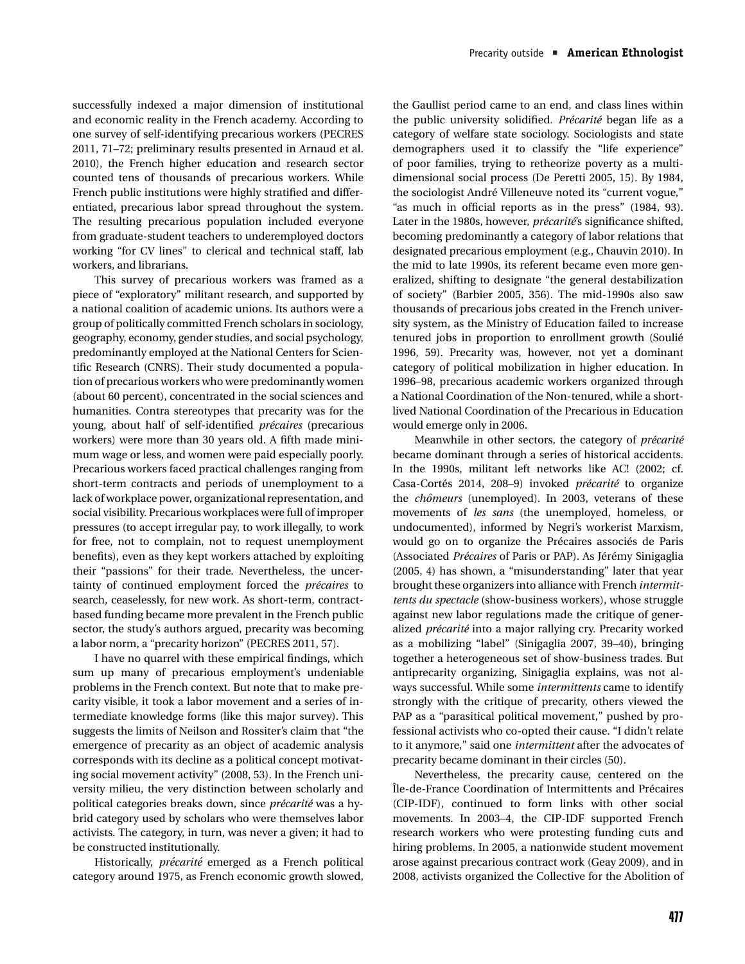successfully indexed a major dimension of institutional and economic reality in the French academy. According to one survey of self-identifying precarious workers (PECRES 2011, 71–72; preliminary results presented in Arnaud et al. 2010), the French higher education and research sector counted tens of thousands of precarious workers. While French public institutions were highly stratified and differentiated, precarious labor spread throughout the system. The resulting precarious population included everyone from graduate-student teachers to underemployed doctors working "for CV lines" to clerical and technical staff, lab workers, and librarians.

This survey of precarious workers was framed as a piece of "exploratory" militant research, and supported by a national coalition of academic unions. Its authors were a group of politically committed French scholars in sociology, geography, economy, gender studies, and social psychology, predominantly employed at the National Centers for Scientific Research (CNRS). Their study documented a population of precarious workers who were predominantly women (about 60 percent), concentrated in the social sciences and humanities. Contra stereotypes that precarity was for the young, about half of self-identified *precaires ´* (precarious workers) were more than 30 years old. A fifth made minimum wage or less, and women were paid especially poorly. Precarious workers faced practical challenges ranging from short-term contracts and periods of unemployment to a lack of workplace power, organizational representation, and social visibility. Precarious workplaces were full of improper pressures (to accept irregular pay, to work illegally, to work for free, not to complain, not to request unemployment benefits), even as they kept workers attached by exploiting their "passions" for their trade. Nevertheless, the uncertainty of continued employment forced the *precaires ´* to search, ceaselessly, for new work. As short-term, contractbased funding became more prevalent in the French public sector, the study's authors argued, precarity was becoming a labor norm, a "precarity horizon" (PECRES 2011, 57).

I have no quarrel with these empirical findings, which sum up many of precarious employment's undeniable problems in the French context. But note that to make precarity visible, it took a labor movement and a series of intermediate knowledge forms (like this major survey). This suggests the limits of Neilson and Rossiter's claim that "the emergence of precarity as an object of academic analysis corresponds with its decline as a political concept motivating social movement activity" (2008, 53). In the French university milieu, the very distinction between scholarly and political categories breaks down, since *précarité* was a hybrid category used by scholars who were themselves labor activists. The category, in turn, was never a given; it had to be constructed institutionally.

Historically, *précarité* emerged as a French political category around 1975, as French economic growth slowed,

the Gaullist period came to an end, and class lines within the public university solidified. *Précarité* began life as a category of welfare state sociology. Sociologists and state demographers used it to classify the "life experience" of poor families, trying to retheorize poverty as a multidimensional social process (De Peretti 2005, 15). By 1984, the sociologist André Villeneuve noted its "current vogue," "as much in official reports as in the press" (1984, 93). Later in the 1980s, however, *précarité's* significance shifted, becoming predominantly a category of labor relations that designated precarious employment (e.g., Chauvin 2010). In the mid to late 1990s, its referent became even more generalized, shifting to designate "the general destabilization of society" (Barbier 2005, 356). The mid-1990s also saw thousands of precarious jobs created in the French university system, as the Ministry of Education failed to increase tenured jobs in proportion to enrollment growth (Soulie´ 1996, 59). Precarity was, however, not yet a dominant category of political mobilization in higher education. In 1996–98, precarious academic workers organized through a National Coordination of the Non-tenured, while a shortlived National Coordination of the Precarious in Education would emerge only in 2006.

Meanwhile in other sectors, the category of *précarité* became dominant through a series of historical accidents. In the 1990s, militant left networks like AC! (2002; cf. Casa-Cortés 2014, 208–9) invoked *précarité* to organize the *chômeurs* (unemployed). In 2003, veterans of these movements of *les sans* (the unemployed, homeless, or undocumented), informed by Negri's workerist Marxism, would go on to organize the Précaires associés de Paris (Associated *Précaires* of Paris or PAP). As Jérémy Sinigaglia (2005, 4) has shown, a "misunderstanding" later that year brought these organizers into alliance with French *intermittents du spectacle* (show-business workers), whose struggle against new labor regulations made the critique of generalized *précarité* into a major rallying cry. Precarity worked as a mobilizing "label" (Sinigaglia 2007, 39–40), bringing together a heterogeneous set of show-business trades. But antiprecarity organizing, Sinigaglia explains, was not always successful. While some *intermittents* came to identify strongly with the critique of precarity, others viewed the PAP as a "parasitical political movement," pushed by professional activists who co-opted their cause. "I didn't relate to it anymore," said one *intermittent* after the advocates of precarity became dominant in their circles (50).

Nevertheless, the precarity cause, centered on the Île-de-France Coordination of Intermittents and Précaires (CIP-IDF), continued to form links with other social movements. In 2003–4, the CIP-IDF supported French research workers who were protesting funding cuts and hiring problems. In 2005, a nationwide student movement arose against precarious contract work (Geay 2009), and in 2008, activists organized the Collective for the Abolition of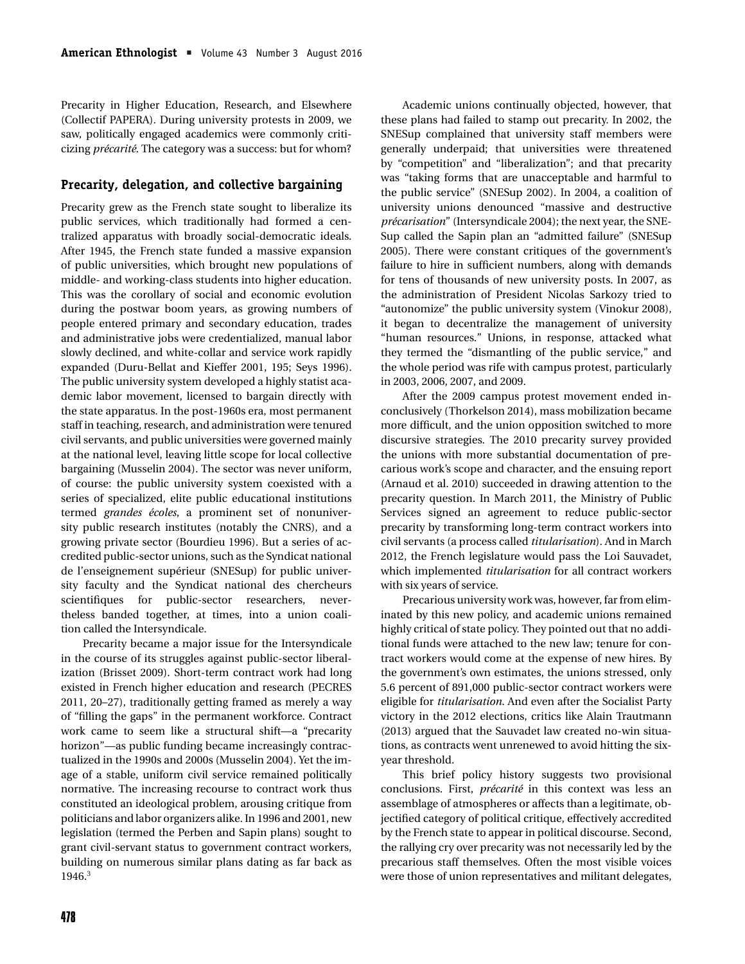Precarity in Higher Education, Research, and Elsewhere (Collectif PAPERA). During university protests in 2009, we saw, politically engaged academics were commonly criticizing *précarité*. The category was a success: but for whom?

## **Precarity, delegation, and collective bargaining**

Precarity grew as the French state sought to liberalize its public services, which traditionally had formed a centralized apparatus with broadly social-democratic ideals. After 1945, the French state funded a massive expansion of public universities, which brought new populations of middle- and working-class students into higher education. This was the corollary of social and economic evolution during the postwar boom years, as growing numbers of people entered primary and secondary education, trades and administrative jobs were credentialized, manual labor slowly declined, and white-collar and service work rapidly expanded (Duru-Bellat and Kieffer 2001, 195; Seys 1996). The public university system developed a highly statist academic labor movement, licensed to bargain directly with the state apparatus. In the post-1960s era, most permanent staff in teaching, research, and administration were tenured civil servants, and public universities were governed mainly at the national level, leaving little scope for local collective bargaining (Musselin 2004). The sector was never uniform, of course: the public university system coexisted with a series of specialized, elite public educational institutions termed *grandes* écoles, a prominent set of nonuniversity public research institutes (notably the CNRS), and a growing private sector (Bourdieu 1996). But a series of accredited public-sector unions, such as the Syndicat national de l'enseignement supérieur (SNESup) for public university faculty and the Syndicat national des chercheurs scientifiques for public-sector researchers, nevertheless banded together, at times, into a union coalition called the Intersyndicale.

Precarity became a major issue for the Intersyndicale in the course of its struggles against public-sector liberalization (Brisset 2009). Short-term contract work had long existed in French higher education and research (PECRES 2011, 20–27), traditionally getting framed as merely a way of "filling the gaps" in the permanent workforce. Contract work came to seem like a structural shift—a "precarity horizon"—as public funding became increasingly contractualized in the 1990s and 2000s (Musselin 2004). Yet the image of a stable, uniform civil service remained politically normative. The increasing recourse to contract work thus constituted an ideological problem, arousing critique from politicians and labor organizers alike. In 1996 and 2001, new legislation (termed the Perben and Sapin plans) sought to grant civil-servant status to government contract workers, building on numerous similar plans dating as far back as  $1946.<sup>3</sup>$ 

Academic unions continually objected, however, that these plans had failed to stamp out precarity. In 2002, the SNESup complained that university staff members were generally underpaid; that universities were threatened by "competition" and "liberalization"; and that precarity was "taking forms that are unacceptable and harmful to the public service" (SNESup 2002). In 2004, a coalition of university unions denounced "massive and destructive *précarisation*" (Intersyndicale 2004); the next year, the SNE-Sup called the Sapin plan an "admitted failure" (SNESup 2005). There were constant critiques of the government's failure to hire in sufficient numbers, along with demands for tens of thousands of new university posts. In 2007, as the administration of President Nicolas Sarkozy tried to "autonomize" the public university system (Vinokur 2008), it began to decentralize the management of university "human resources." Unions, in response, attacked what they termed the "dismantling of the public service," and the whole period was rife with campus protest, particularly in 2003, 2006, 2007, and 2009.

After the 2009 campus protest movement ended inconclusively (Thorkelson 2014), mass mobilization became more difficult, and the union opposition switched to more discursive strategies. The 2010 precarity survey provided the unions with more substantial documentation of precarious work's scope and character, and the ensuing report (Arnaud et al. 2010) succeeded in drawing attention to the precarity question. In March 2011, the Ministry of Public Services signed an agreement to reduce public-sector precarity by transforming long-term contract workers into civil servants (a process called *titularisation*). And in March 2012, the French legislature would pass the Loi Sauvadet, which implemented *titularisation* for all contract workers with six years of service.

Precarious university work was, however, far from eliminated by this new policy, and academic unions remained highly critical of state policy. They pointed out that no additional funds were attached to the new law; tenure for contract workers would come at the expense of new hires. By the government's own estimates, the unions stressed, only 5.6 percent of 891,000 public-sector contract workers were eligible for *titularisation*. And even after the Socialist Party victory in the 2012 elections, critics like Alain Trautmann (2013) argued that the Sauvadet law created no-win situations, as contracts went unrenewed to avoid hitting the sixyear threshold.

This brief policy history suggests two provisional conclusions. First, *précarité* in this context was less an assemblage of atmospheres or affects than a legitimate, objectified category of political critique, effectively accredited by the French state to appear in political discourse. Second, the rallying cry over precarity was not necessarily led by the precarious staff themselves. Often the most visible voices were those of union representatives and militant delegates,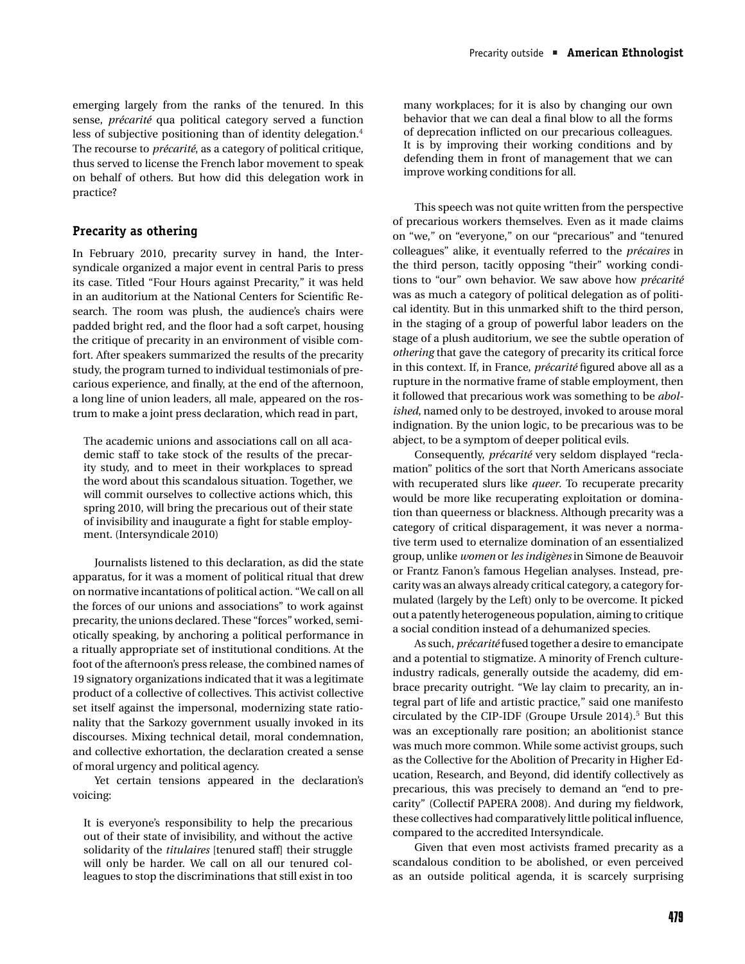emerging largely from the ranks of the tenured. In this sense, *précarité* qua political category served a function less of subjective positioning than of identity delegation.<sup>4</sup> The recourse to *précarité*, as a category of political critique, thus served to license the French labor movement to speak on behalf of others. But how did this delegation work in practice?

#### **Precarity as othering**

In February 2010, precarity survey in hand, the Intersyndicale organized a major event in central Paris to press its case. Titled "Four Hours against Precarity," it was held in an auditorium at the National Centers for Scientific Research. The room was plush, the audience's chairs were padded bright red, and the floor had a soft carpet, housing the critique of precarity in an environment of visible comfort. After speakers summarized the results of the precarity study, the program turned to individual testimonials of precarious experience, and finally, at the end of the afternoon, a long line of union leaders, all male, appeared on the rostrum to make a joint press declaration, which read in part,

The academic unions and associations call on all academic staff to take stock of the results of the precarity study, and to meet in their workplaces to spread the word about this scandalous situation. Together, we will commit ourselves to collective actions which, this spring 2010, will bring the precarious out of their state of invisibility and inaugurate a fight for stable employment. (Intersyndicale 2010)

Journalists listened to this declaration, as did the state apparatus, for it was a moment of political ritual that drew on normative incantations of political action. "We call on all the forces of our unions and associations" to work against precarity, the unions declared. These "forces" worked, semiotically speaking, by anchoring a political performance in a ritually appropriate set of institutional conditions. At the foot of the afternoon's press release, the combined names of 19 signatory organizations indicated that it was a legitimate product of a collective of collectives. This activist collective set itself against the impersonal, modernizing state rationality that the Sarkozy government usually invoked in its discourses. Mixing technical detail, moral condemnation, and collective exhortation, the declaration created a sense of moral urgency and political agency.

Yet certain tensions appeared in the declaration's voicing:

It is everyone's responsibility to help the precarious out of their state of invisibility, and without the active solidarity of the *titulaires* [tenured staff] their struggle will only be harder. We call on all our tenured colleagues to stop the discriminations that still exist in too many workplaces; for it is also by changing our own behavior that we can deal a final blow to all the forms of deprecation inflicted on our precarious colleagues. It is by improving their working conditions and by defending them in front of management that we can improve working conditions for all.

This speech was not quite written from the perspective of precarious workers themselves. Even as it made claims on "we," on "everyone," on our "precarious" and "tenured colleagues" alike, it eventually referred to the *precaires ´* in the third person, tacitly opposing "their" working conditions to "our" own behavior. We saw above how *précarité* was as much a category of political delegation as of political identity. But in this unmarked shift to the third person, in the staging of a group of powerful labor leaders on the stage of a plush auditorium, we see the subtle operation of *othering* that gave the category of precarity its critical force in this context. If, in France, *précarité* figured above all as a rupture in the normative frame of stable employment, then it followed that precarious work was something to be *abolished*, named only to be destroyed, invoked to arouse moral indignation. By the union logic, to be precarious was to be abject, to be a symptom of deeper political evils.

Consequently, *précarité* very seldom displayed "reclamation" politics of the sort that North Americans associate with recuperated slurs like *queer*. To recuperate precarity would be more like recuperating exploitation or domination than queerness or blackness. Although precarity was a category of critical disparagement, it was never a normative term used to eternalize domination of an essentialized group, unlike *women* or*les indigenes `* in Simone de Beauvoir or Frantz Fanon's famous Hegelian analyses. Instead, precarity was an always already critical category, a category formulated (largely by the Left) only to be overcome. It picked out a patently heterogeneous population, aiming to critique a social condition instead of a dehumanized species.

As such, *précarité* fused together a desire to emancipate and a potential to stigmatize. A minority of French cultureindustry radicals, generally outside the academy, did embrace precarity outright. "We lay claim to precarity, an integral part of life and artistic practice," said one manifesto circulated by the CIP-IDF (Groupe Ursule  $2014$ ).<sup>5</sup> But this was an exceptionally rare position; an abolitionist stance was much more common. While some activist groups, such as the Collective for the Abolition of Precarity in Higher Education, Research, and Beyond, did identify collectively as precarious, this was precisely to demand an "end to precarity" (Collectif PAPERA 2008). And during my fieldwork, these collectives had comparatively little political influence, compared to the accredited Intersyndicale.

Given that even most activists framed precarity as a scandalous condition to be abolished, or even perceived as an outside political agenda, it is scarcely surprising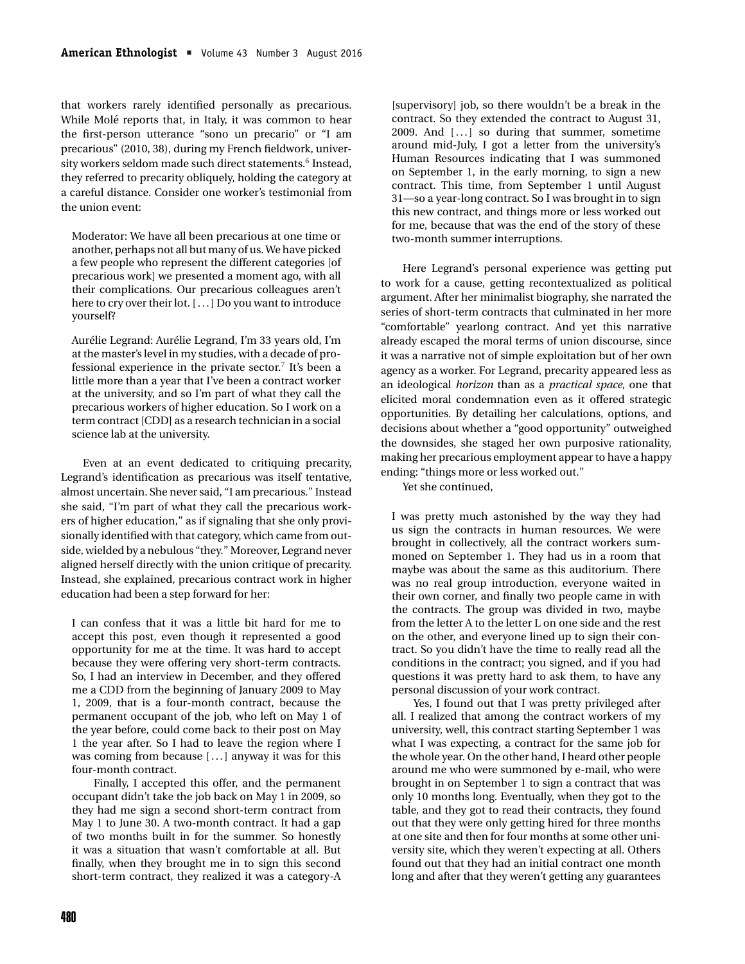that workers rarely identified personally as precarious. While Molé reports that, in Italy, it was common to hear the first-person utterance "sono un precario" or "I am precarious" (2010, 38), during my French fieldwork, university workers seldom made such direct statements.<sup>6</sup> Instead, they referred to precarity obliquely, holding the category at a careful distance. Consider one worker's testimonial from the union event:

Moderator: We have all been precarious at one time or another, perhaps not all but many of us. We have picked a few people who represent the different categories [of precarious work] we presented a moment ago, with all their complications. Our precarious colleagues aren't here to cry over their lot. [ . . . ] Do you want to introduce yourself?

Aurélie Legrand: Aurélie Legrand, I'm 33 years old, I'm at the master's level in my studies, with a decade of professional experience in the private sector.<sup>7</sup> It's been a little more than a year that I've been a contract worker at the university, and so I'm part of what they call the precarious workers of higher education. So I work on a term contract [CDD] as a research technician in a social science lab at the university.

Even at an event dedicated to critiquing precarity, Legrand's identification as precarious was itself tentative, almost uncertain. She never said, "I am precarious." Instead she said, "I'm part of what they call the precarious workers of higher education," as if signaling that she only provisionally identified with that category, which came from outside, wielded by a nebulous "they." Moreover, Legrand never aligned herself directly with the union critique of precarity. Instead, she explained, precarious contract work in higher education had been a step forward for her:

I can confess that it was a little bit hard for me to accept this post, even though it represented a good opportunity for me at the time. It was hard to accept because they were offering very short-term contracts. So, I had an interview in December, and they offered me a CDD from the beginning of January 2009 to May 1, 2009, that is a four-month contract, because the permanent occupant of the job, who left on May 1 of the year before, could come back to their post on May 1 the year after. So I had to leave the region where I was coming from because [...] anyway it was for this four-month contract.

Finally, I accepted this offer, and the permanent occupant didn't take the job back on May 1 in 2009, so they had me sign a second short-term contract from May 1 to June 30. A two-month contract. It had a gap of two months built in for the summer. So honestly it was a situation that wasn't comfortable at all. But finally, when they brought me in to sign this second short-term contract, they realized it was a category-A [supervisory] job, so there wouldn't be a break in the contract. So they extended the contract to August 31,  $2009.$  And  $[...]$  so during that summer, sometime around mid-July, I got a letter from the university's Human Resources indicating that I was summoned on September 1, in the early morning, to sign a new contract. This time, from September 1 until August 31—so a year-long contract. So I was brought in to sign this new contract, and things more or less worked out for me, because that was the end of the story of these two-month summer interruptions.

Here Legrand's personal experience was getting put to work for a cause, getting recontextualized as political argument. After her minimalist biography, she narrated the series of short-term contracts that culminated in her more "comfortable" yearlong contract. And yet this narrative already escaped the moral terms of union discourse, since it was a narrative not of simple exploitation but of her own agency as a worker. For Legrand, precarity appeared less as an ideological *horizon* than as a *practical space*, one that elicited moral condemnation even as it offered strategic opportunities. By detailing her calculations, options, and decisions about whether a "good opportunity" outweighed the downsides, she staged her own purposive rationality, making her precarious employment appear to have a happy ending: "things more or less worked out."

Yet she continued,

I was pretty much astonished by the way they had us sign the contracts in human resources. We were brought in collectively, all the contract workers summoned on September 1. They had us in a room that maybe was about the same as this auditorium. There was no real group introduction, everyone waited in their own corner, and finally two people came in with the contracts. The group was divided in two, maybe from the letter A to the letter L on one side and the rest on the other, and everyone lined up to sign their contract. So you didn't have the time to really read all the conditions in the contract; you signed, and if you had questions it was pretty hard to ask them, to have any personal discussion of your work contract.

Yes, I found out that I was pretty privileged after all. I realized that among the contract workers of my university, well, this contract starting September 1 was what I was expecting, a contract for the same job for the whole year. On the other hand, I heard other people around me who were summoned by e-mail, who were brought in on September 1 to sign a contract that was only 10 months long. Eventually, when they got to the table, and they got to read their contracts, they found out that they were only getting hired for three months at one site and then for four months at some other university site, which they weren't expecting at all. Others found out that they had an initial contract one month long and after that they weren't getting any guarantees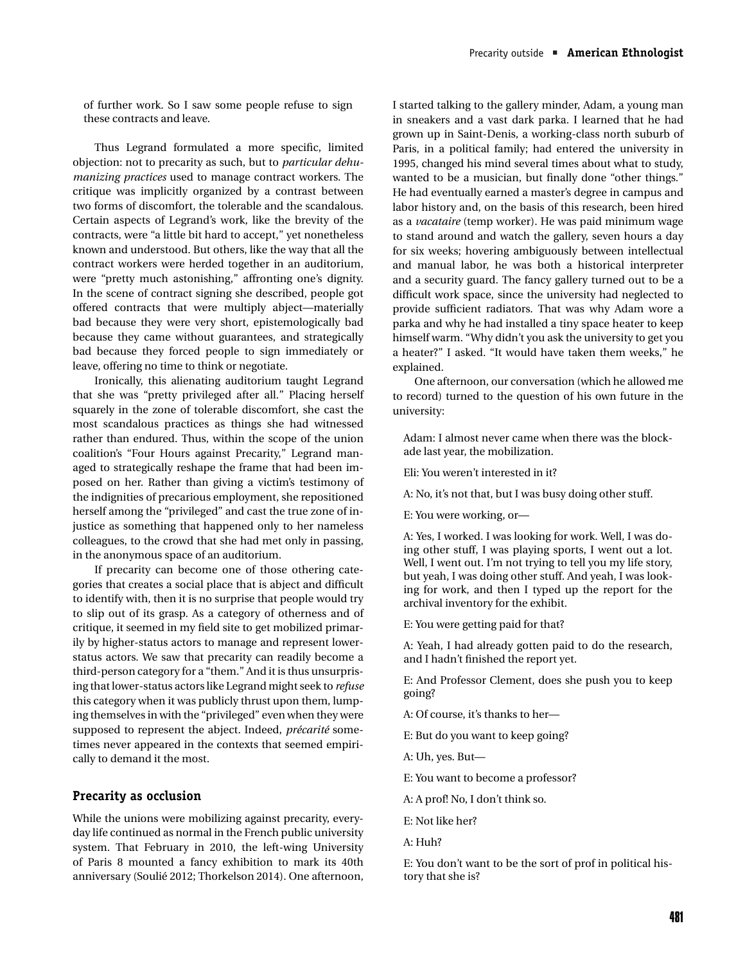of further work. So I saw some people refuse to sign these contracts and leave.

Thus Legrand formulated a more specific, limited objection: not to precarity as such, but to *particular dehumanizing practices* used to manage contract workers. The critique was implicitly organized by a contrast between two forms of discomfort, the tolerable and the scandalous. Certain aspects of Legrand's work, like the brevity of the contracts, were "a little bit hard to accept," yet nonetheless known and understood. But others, like the way that all the contract workers were herded together in an auditorium, were "pretty much astonishing," affronting one's dignity. In the scene of contract signing she described, people got offered contracts that were multiply abject—materially bad because they were very short, epistemologically bad because they came without guarantees, and strategically bad because they forced people to sign immediately or leave, offering no time to think or negotiate.

Ironically, this alienating auditorium taught Legrand that she was "pretty privileged after all." Placing herself squarely in the zone of tolerable discomfort, she cast the most scandalous practices as things she had witnessed rather than endured. Thus, within the scope of the union coalition's "Four Hours against Precarity," Legrand managed to strategically reshape the frame that had been imposed on her. Rather than giving a victim's testimony of the indignities of precarious employment, she repositioned herself among the "privileged" and cast the true zone of injustice as something that happened only to her nameless colleagues, to the crowd that she had met only in passing, in the anonymous space of an auditorium.

If precarity can become one of those othering categories that creates a social place that is abject and difficult to identify with, then it is no surprise that people would try to slip out of its grasp. As a category of otherness and of critique, it seemed in my field site to get mobilized primarily by higher-status actors to manage and represent lowerstatus actors. We saw that precarity can readily become a third-person category for a "them." And it is thus unsurprising that lower-status actors like Legrand might seek to *refuse* this category when it was publicly thrust upon them, lumping themselves in with the "privileged" even when they were supposed to represent the abject. Indeed, *précarité* sometimes never appeared in the contexts that seemed empirically to demand it the most.

#### **Precarity as occlusion**

While the unions were mobilizing against precarity, everyday life continued as normal in the French public university system. That February in 2010, the left-wing University of Paris 8 mounted a fancy exhibition to mark its 40th anniversary (Soulié 2012; Thorkelson 2014). One afternoon, I started talking to the gallery minder, Adam, a young man in sneakers and a vast dark parka. I learned that he had grown up in Saint-Denis, a working-class north suburb of Paris, in a political family; had entered the university in 1995, changed his mind several times about what to study, wanted to be a musician, but finally done "other things." He had eventually earned a master's degree in campus and labor history and, on the basis of this research, been hired as a *vacataire* (temp worker). He was paid minimum wage to stand around and watch the gallery, seven hours a day for six weeks; hovering ambiguously between intellectual and manual labor, he was both a historical interpreter and a security guard. The fancy gallery turned out to be a difficult work space, since the university had neglected to provide sufficient radiators. That was why Adam wore a parka and why he had installed a tiny space heater to keep himself warm. "Why didn't you ask the university to get you a heater?" I asked. "It would have taken them weeks," he explained.

One afternoon, our conversation (which he allowed me to record) turned to the question of his own future in the university:

Adam: I almost never came when there was the blockade last year, the mobilization.

Eli: You weren't interested in it?

A: No, it's not that, but I was busy doing other stuff.

E: You were working, or—

A: Yes, I worked. I was looking for work. Well, I was doing other stuff, I was playing sports, I went out a lot. Well, I went out. I'm not trying to tell you my life story, but yeah, I was doing other stuff. And yeah, I was looking for work, and then I typed up the report for the archival inventory for the exhibit.

E: You were getting paid for that?

A: Yeah, I had already gotten paid to do the research, and I hadn't finished the report yet.

E: And Professor Clement, does she push you to keep going?

A: Of course, it's thanks to her—

E: But do you want to keep going?

A: Uh, yes. But—

E: You want to become a professor?

A: A prof! No, I don't think so.

E: Not like her?

A: Huh?

E: You don't want to be the sort of prof in political history that she is?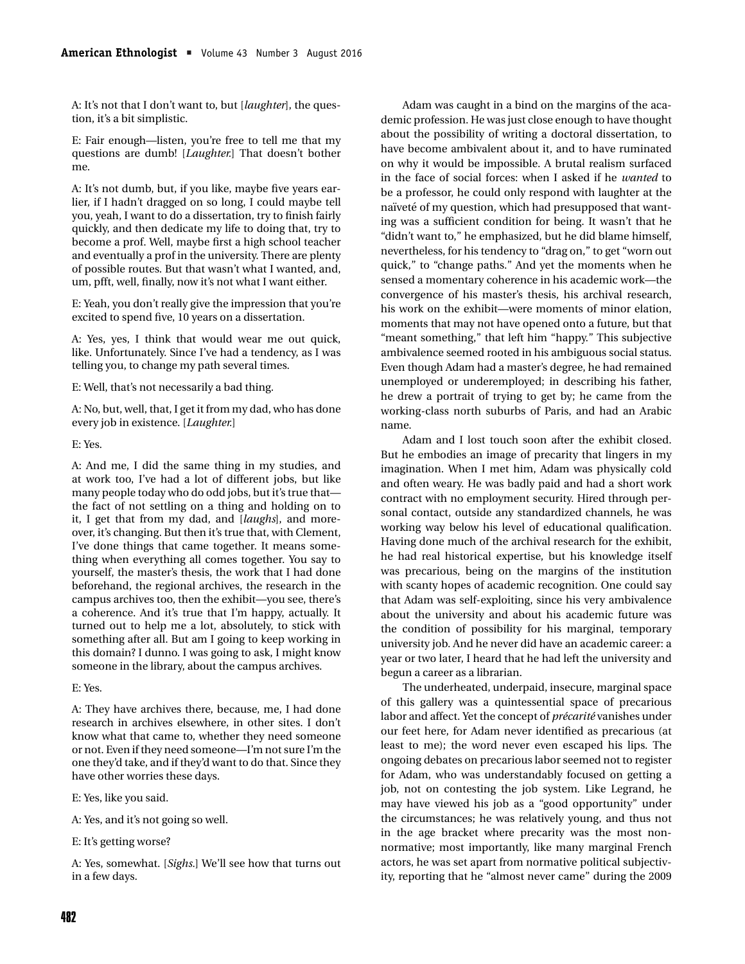A: It's not that I don't want to, but [*laughter*], the question, it's a bit simplistic.

E: Fair enough—listen, you're free to tell me that my questions are dumb! [*Laughter.*] That doesn't bother me.

A: It's not dumb, but, if you like, maybe five years earlier, if I hadn't dragged on so long, I could maybe tell you, yeah, I want to do a dissertation, try to finish fairly quickly, and then dedicate my life to doing that, try to become a prof. Well, maybe first a high school teacher and eventually a prof in the university. There are plenty of possible routes. But that wasn't what I wanted, and, um, pfft, well, finally, now it's not what I want either.

E: Yeah, you don't really give the impression that you're excited to spend five, 10 years on a dissertation.

A: Yes, yes, I think that would wear me out quick, like. Unfortunately. Since I've had a tendency, as I was telling you, to change my path several times.

E: Well, that's not necessarily a bad thing.

A: No, but, well, that, I get it from my dad, who has done every job in existence. [*Laughter.*]

E: Yes.

A: And me, I did the same thing in my studies, and at work too, I've had a lot of different jobs, but like many people today who do odd jobs, but it's true that the fact of not settling on a thing and holding on to it, I get that from my dad, and [*laughs*], and moreover, it's changing. But then it's true that, with Clement, I've done things that came together. It means something when everything all comes together. You say to yourself, the master's thesis, the work that I had done beforehand, the regional archives, the research in the campus archives too, then the exhibit—you see, there's a coherence. And it's true that I'm happy, actually. It turned out to help me a lot, absolutely, to stick with something after all. But am I going to keep working in this domain? I dunno. I was going to ask, I might know someone in the library, about the campus archives.

E: Yes.

A: They have archives there, because, me, I had done research in archives elsewhere, in other sites. I don't know what that came to, whether they need someone or not. Even if they need someone—I'm not sure I'm the one they'd take, and if they'd want to do that. Since they have other worries these days.

E: Yes, like you said.

A: Yes, and it's not going so well.

E: It's getting worse?

A: Yes, somewhat. [*Sighs.*] We'll see how that turns out in a few days.

Adam was caught in a bind on the margins of the academic profession. He was just close enough to have thought about the possibility of writing a doctoral dissertation, to have become ambivalent about it, and to have ruminated on why it would be impossible. A brutal realism surfaced in the face of social forces: when I asked if he *wanted* to be a professor, he could only respond with laughter at the naïveté of my question, which had presupposed that wanting was a sufficient condition for being. It wasn't that he "didn't want to," he emphasized, but he did blame himself, nevertheless, for his tendency to "drag on," to get "worn out quick," to "change paths." And yet the moments when he sensed a momentary coherence in his academic work—the convergence of his master's thesis, his archival research, his work on the exhibit—were moments of minor elation, moments that may not have opened onto a future, but that "meant something," that left him "happy." This subjective ambivalence seemed rooted in his ambiguous social status. Even though Adam had a master's degree, he had remained unemployed or underemployed; in describing his father, he drew a portrait of trying to get by; he came from the working-class north suburbs of Paris, and had an Arabic name.

Adam and I lost touch soon after the exhibit closed. But he embodies an image of precarity that lingers in my imagination. When I met him, Adam was physically cold and often weary. He was badly paid and had a short work contract with no employment security. Hired through personal contact, outside any standardized channels, he was working way below his level of educational qualification. Having done much of the archival research for the exhibit, he had real historical expertise, but his knowledge itself was precarious, being on the margins of the institution with scanty hopes of academic recognition. One could say that Adam was self-exploiting, since his very ambivalence about the university and about his academic future was the condition of possibility for his marginal, temporary university job. And he never did have an academic career: a year or two later, I heard that he had left the university and begun a career as a librarian.

The underheated, underpaid, insecure, marginal space of this gallery was a quintessential space of precarious labor and affect. Yet the concept of *précarité* vanishes under our feet here, for Adam never identified as precarious (at least to me); the word never even escaped his lips. The ongoing debates on precarious labor seemed not to register for Adam, who was understandably focused on getting a job, not on contesting the job system. Like Legrand, he may have viewed his job as a "good opportunity" under the circumstances; he was relatively young, and thus not in the age bracket where precarity was the most nonnormative; most importantly, like many marginal French actors, he was set apart from normative political subjectivity, reporting that he "almost never came" during the 2009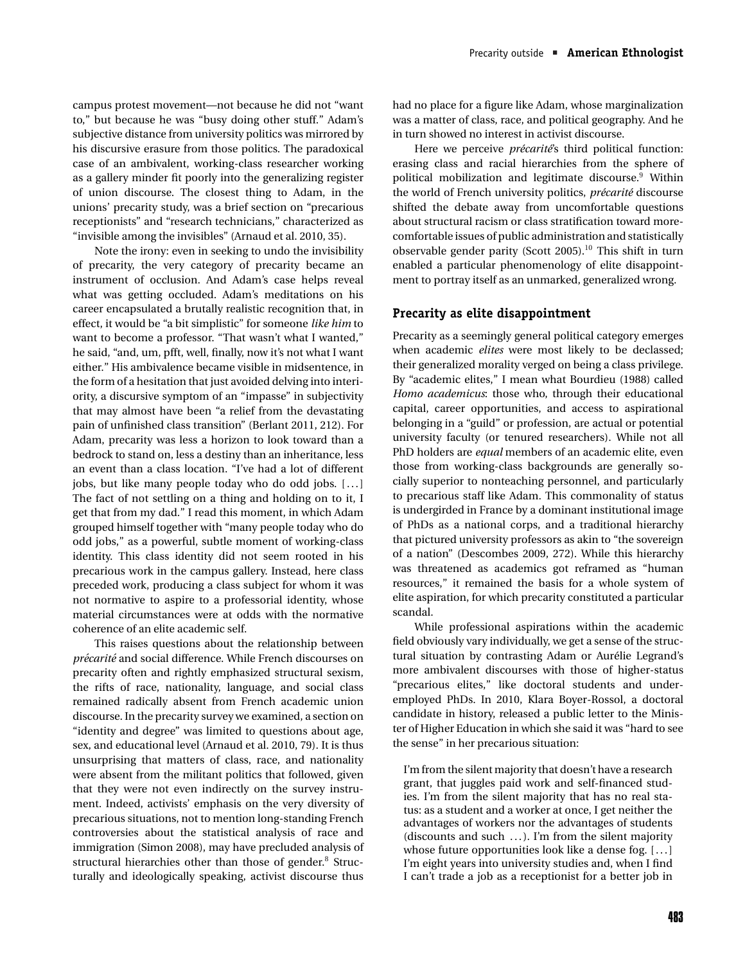campus protest movement—not because he did not "want to," but because he was "busy doing other stuff." Adam's subjective distance from university politics was mirrored by his discursive erasure from those politics. The paradoxical case of an ambivalent, working-class researcher working as a gallery minder fit poorly into the generalizing register of union discourse. The closest thing to Adam, in the unions' precarity study, was a brief section on "precarious receptionists" and "research technicians," characterized as "invisible among the invisibles" (Arnaud et al. 2010, 35).

Note the irony: even in seeking to undo the invisibility of precarity, the very category of precarity became an instrument of occlusion. And Adam's case helps reveal what was getting occluded. Adam's meditations on his career encapsulated a brutally realistic recognition that, in effect, it would be "a bit simplistic" for someone *like him* to want to become a professor. "That wasn't what I wanted," he said, "and, um, pfft, well, finally, now it's not what I want either." His ambivalence became visible in midsentence, in the form of a hesitation that just avoided delving into interiority, a discursive symptom of an "impasse" in subjectivity that may almost have been "a relief from the devastating pain of unfinished class transition" (Berlant 2011, 212). For Adam, precarity was less a horizon to look toward than a bedrock to stand on, less a destiny than an inheritance, less an event than a class location. "I've had a lot of different jobs, but like many people today who do odd jobs. [...] The fact of not settling on a thing and holding on to it, I get that from my dad." I read this moment, in which Adam grouped himself together with "many people today who do odd jobs," as a powerful, subtle moment of working-class identity. This class identity did not seem rooted in his precarious work in the campus gallery. Instead, here class preceded work, producing a class subject for whom it was not normative to aspire to a professorial identity, whose material circumstances were at odds with the normative coherence of an elite academic self.

This raises questions about the relationship between *précarité* and social difference. While French discourses on precarity often and rightly emphasized structural sexism, the rifts of race, nationality, language, and social class remained radically absent from French academic union discourse. In the precarity survey we examined, a section on "identity and degree" was limited to questions about age, sex, and educational level (Arnaud et al. 2010, 79). It is thus unsurprising that matters of class, race, and nationality were absent from the militant politics that followed, given that they were not even indirectly on the survey instrument. Indeed, activists' emphasis on the very diversity of precarious situations, not to mention long-standing French controversies about the statistical analysis of race and immigration (Simon 2008), may have precluded analysis of structural hierarchies other than those of gender.<sup>8</sup> Structurally and ideologically speaking, activist discourse thus

had no place for a figure like Adam, whose marginalization was a matter of class, race, and political geography. And he in turn showed no interest in activist discourse.

Here we perceive *précarité*'s third political function: erasing class and racial hierarchies from the sphere of political mobilization and legitimate discourse.<sup>9</sup> Within the world of French university politics, *précarité* discourse shifted the debate away from uncomfortable questions about structural racism or class stratification toward morecomfortable issues of public administration and statistically observable gender parity (Scott 2005).10 This shift in turn enabled a particular phenomenology of elite disappointment to portray itself as an unmarked, generalized wrong.

#### **Precarity as elite disappointment**

Precarity as a seemingly general political category emerges when academic *elites* were most likely to be declassed; their generalized morality verged on being a class privilege. By "academic elites," I mean what Bourdieu (1988) called *Homo academicus*: those who, through their educational capital, career opportunities, and access to aspirational belonging in a "guild" or profession, are actual or potential university faculty (or tenured researchers). While not all PhD holders are *equal* members of an academic elite, even those from working-class backgrounds are generally socially superior to nonteaching personnel, and particularly to precarious staff like Adam. This commonality of status is undergirded in France by a dominant institutional image of PhDs as a national corps, and a traditional hierarchy that pictured university professors as akin to "the sovereign of a nation" (Descombes 2009, 272). While this hierarchy was threatened as academics got reframed as "human resources," it remained the basis for a whole system of elite aspiration, for which precarity constituted a particular scandal.

While professional aspirations within the academic field obviously vary individually, we get a sense of the structural situation by contrasting Adam or Aurélie Legrand's more ambivalent discourses with those of higher-status "precarious elites," like doctoral students and underemployed PhDs. In 2010, Klara Boyer-Rossol, a doctoral candidate in history, released a public letter to the Minister of Higher Education in which she said it was "hard to see the sense" in her precarious situation:

I'm from the silent majority that doesn't have a research grant, that juggles paid work and self-financed studies. I'm from the silent majority that has no real status: as a student and a worker at once, I get neither the advantages of workers nor the advantages of students (discounts and such ...). I'm from the silent majority whose future opportunities look like a dense fog. [ ...] I'm eight years into university studies and, when I find I can't trade a job as a receptionist for a better job in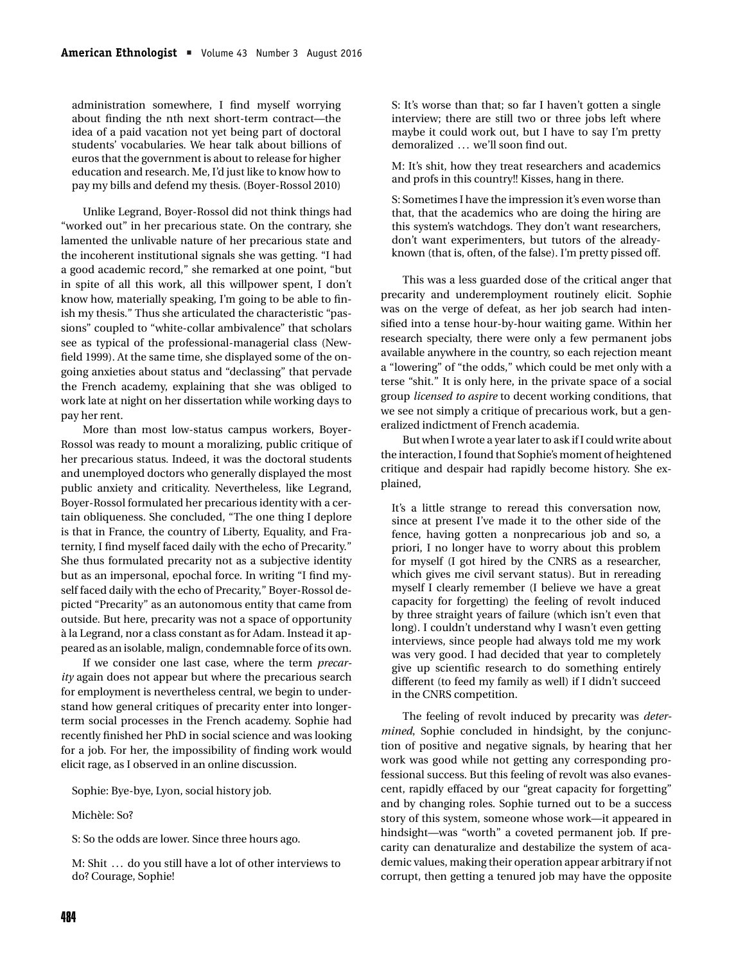administration somewhere, I find myself worrying about finding the nth next short-term contract—the idea of a paid vacation not yet being part of doctoral students' vocabularies. We hear talk about billions of euros that the government is about to release for higher education and research. Me, I'd just like to know how to pay my bills and defend my thesis. (Boyer-Rossol 2010)

Unlike Legrand, Boyer-Rossol did not think things had "worked out" in her precarious state. On the contrary, she lamented the unlivable nature of her precarious state and the incoherent institutional signals she was getting. "I had a good academic record," she remarked at one point, "but in spite of all this work, all this willpower spent, I don't know how, materially speaking, I'm going to be able to finish my thesis." Thus she articulated the characteristic "passions" coupled to "white-collar ambivalence" that scholars see as typical of the professional-managerial class (Newfield 1999). At the same time, she displayed some of the ongoing anxieties about status and "declassing" that pervade the French academy, explaining that she was obliged to work late at night on her dissertation while working days to pay her rent.

More than most low-status campus workers, Boyer-Rossol was ready to mount a moralizing, public critique of her precarious status. Indeed, it was the doctoral students and unemployed doctors who generally displayed the most public anxiety and criticality. Nevertheless, like Legrand, Boyer-Rossol formulated her precarious identity with a certain obliqueness. She concluded, "The one thing I deplore is that in France, the country of Liberty, Equality, and Fraternity, I find myself faced daily with the echo of Precarity." She thus formulated precarity not as a subjective identity but as an impersonal, epochal force. In writing "I find myself faced daily with the echo of Precarity," Boyer-Rossol depicted "Precarity" as an autonomous entity that came from outside. But here, precarity was not a space of opportunity a la Legrand, nor a class constant as for Adam. Instead it ap- ` peared as an isolable, malign, condemnable force of its own.

If we consider one last case, where the term *precarity* again does not appear but where the precarious search for employment is nevertheless central, we begin to understand how general critiques of precarity enter into longerterm social processes in the French academy. Sophie had recently finished her PhD in social science and was looking for a job. For her, the impossibility of finding work would elicit rage, as I observed in an online discussion.

Sophie: Bye-bye, Lyon, social history job.

Michèle: So?

S: So the odds are lower. Since three hours ago.

M: Shit ... do you still have a lot of other interviews to do? Courage, Sophie!

S: It's worse than that; so far I haven't gotten a single interview; there are still two or three jobs left where maybe it could work out, but I have to say I'm pretty demoralized ... we'll soon find out.

M: It's shit, how they treat researchers and academics and profs in this country!! Kisses, hang in there.

S: Sometimes I have the impression it's even worse than that, that the academics who are doing the hiring are this system's watchdogs. They don't want researchers, don't want experimenters, but tutors of the alreadyknown (that is, often, of the false). I'm pretty pissed off.

This was a less guarded dose of the critical anger that precarity and underemployment routinely elicit. Sophie was on the verge of defeat, as her job search had intensified into a tense hour-by-hour waiting game. Within her research specialty, there were only a few permanent jobs available anywhere in the country, so each rejection meant a "lowering" of "the odds," which could be met only with a terse "shit." It is only here, in the private space of a social group *licensed to aspire* to decent working conditions, that we see not simply a critique of precarious work, but a generalized indictment of French academia.

But when I wrote a year later to ask if I could write about the interaction, I found that Sophie's moment of heightened critique and despair had rapidly become history. She explained,

It's a little strange to reread this conversation now, since at present I've made it to the other side of the fence, having gotten a nonprecarious job and so, a priori, I no longer have to worry about this problem for myself (I got hired by the CNRS as a researcher, which gives me civil servant status). But in rereading myself I clearly remember (I believe we have a great capacity for forgetting) the feeling of revolt induced by three straight years of failure (which isn't even that long). I couldn't understand why I wasn't even getting interviews, since people had always told me my work was very good. I had decided that year to completely give up scientific research to do something entirely different (to feed my family as well) if I didn't succeed in the CNRS competition.

The feeling of revolt induced by precarity was *determined*, Sophie concluded in hindsight, by the conjunction of positive and negative signals, by hearing that her work was good while not getting any corresponding professional success. But this feeling of revolt was also evanescent, rapidly effaced by our "great capacity for forgetting" and by changing roles. Sophie turned out to be a success story of this system, someone whose work—it appeared in hindsight—was "worth" a coveted permanent job. If precarity can denaturalize and destabilize the system of academic values, making their operation appear arbitrary if not corrupt, then getting a tenured job may have the opposite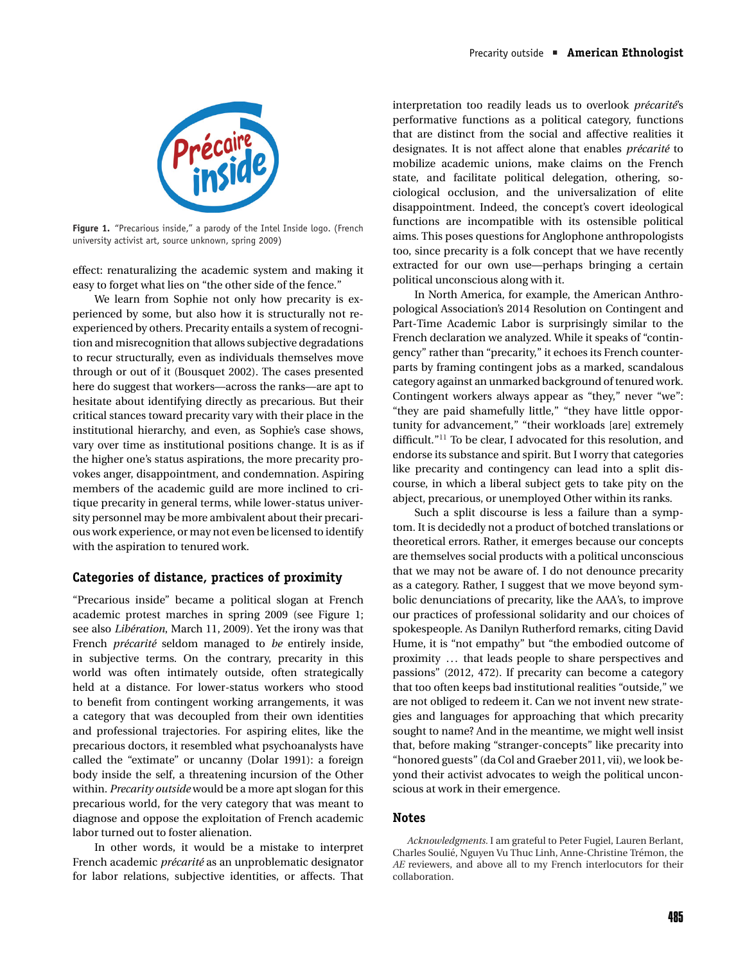

Figure 1. "Precarious inside," a parody of the Intel Inside logo. (French university activist art, source unknown, spring 2009)

effect: renaturalizing the academic system and making it easy to forget what lies on "the other side of the fence."

We learn from Sophie not only how precarity is experienced by some, but also how it is structurally not reexperienced by others. Precarity entails a system of recognition and misrecognition that allows subjective degradations to recur structurally, even as individuals themselves move through or out of it (Bousquet 2002). The cases presented here do suggest that workers—across the ranks—are apt to hesitate about identifying directly as precarious. But their critical stances toward precarity vary with their place in the institutional hierarchy, and even, as Sophie's case shows, vary over time as institutional positions change. It is as if the higher one's status aspirations, the more precarity provokes anger, disappointment, and condemnation. Aspiring members of the academic guild are more inclined to critique precarity in general terms, while lower-status university personnel may be more ambivalent about their precarious work experience, or may not even be licensed to identify with the aspiration to tenured work.

#### **Categories of distance, practices of proximity**

"Precarious inside" became a political slogan at French academic protest marches in spring 2009 (see Figure 1; see also *Libération*, March 11, 2009). Yet the irony was that French *précarité* seldom managed to *be* entirely inside, in subjective terms. On the contrary, precarity in this world was often intimately outside, often strategically held at a distance. For lower-status workers who stood to benefit from contingent working arrangements, it was a category that was decoupled from their own identities and professional trajectories. For aspiring elites, like the precarious doctors, it resembled what psychoanalysts have called the "extimate" or uncanny (Dolar 1991): a foreign body inside the self, a threatening incursion of the Other within. *Precarity outside* would be a more apt slogan for this precarious world, for the very category that was meant to diagnose and oppose the exploitation of French academic labor turned out to foster alienation.

In other words, it would be a mistake to interpret French academic *précarité* as an unproblematic designator for labor relations, subjective identities, or affects. That interpretation too readily leads us to overlook *précarité*'s performative functions as a political category, functions that are distinct from the social and affective realities it designates. It is not affect alone that enables *précarité* to mobilize academic unions, make claims on the French state, and facilitate political delegation, othering, sociological occlusion, and the universalization of elite disappointment. Indeed, the concept's covert ideological functions are incompatible with its ostensible political aims. This poses questions for Anglophone anthropologists too, since precarity is a folk concept that we have recently extracted for our own use—perhaps bringing a certain political unconscious along with it.

In North America, for example, the American Anthropological Association's 2014 Resolution on Contingent and Part-Time Academic Labor is surprisingly similar to the French declaration we analyzed. While it speaks of "contingency" rather than "precarity," it echoes its French counterparts by framing contingent jobs as a marked, scandalous category against an unmarked background of tenured work. Contingent workers always appear as "they," never "we": "they are paid shamefully little," "they have little opportunity for advancement," "their workloads [are] extremely difficult."<sup>11</sup> To be clear, I advocated for this resolution, and endorse its substance and spirit. But I worry that categories like precarity and contingency can lead into a split discourse, in which a liberal subject gets to take pity on the abject, precarious, or unemployed Other within its ranks.

Such a split discourse is less a failure than a symptom. It is decidedly not a product of botched translations or theoretical errors. Rather, it emerges because our concepts are themselves social products with a political unconscious that we may not be aware of. I do not denounce precarity as a category. Rather, I suggest that we move beyond symbolic denunciations of precarity, like the AAA's, to improve our practices of professional solidarity and our choices of spokespeople. As Danilyn Rutherford remarks, citing David Hume, it is "not empathy" but "the embodied outcome of proximity . . . that leads people to share perspectives and passions" (2012, 472). If precarity can become a category that too often keeps bad institutional realities "outside," we are not obliged to redeem it. Can we not invent new strategies and languages for approaching that which precarity sought to name? And in the meantime, we might well insist that, before making "stranger-concepts" like precarity into "honored guests" (da Col and Graeber 2011, vii), we look beyond their activist advocates to weigh the political unconscious at work in their emergence.

#### **Notes**

*Acknowledgments.* I am grateful to Peter Fugiel, Lauren Berlant, Charles Soulié, Nguyen Vu Thuc Linh, Anne-Christine Trémon, the *AE* reviewers, and above all to my French interlocutors for their collaboration.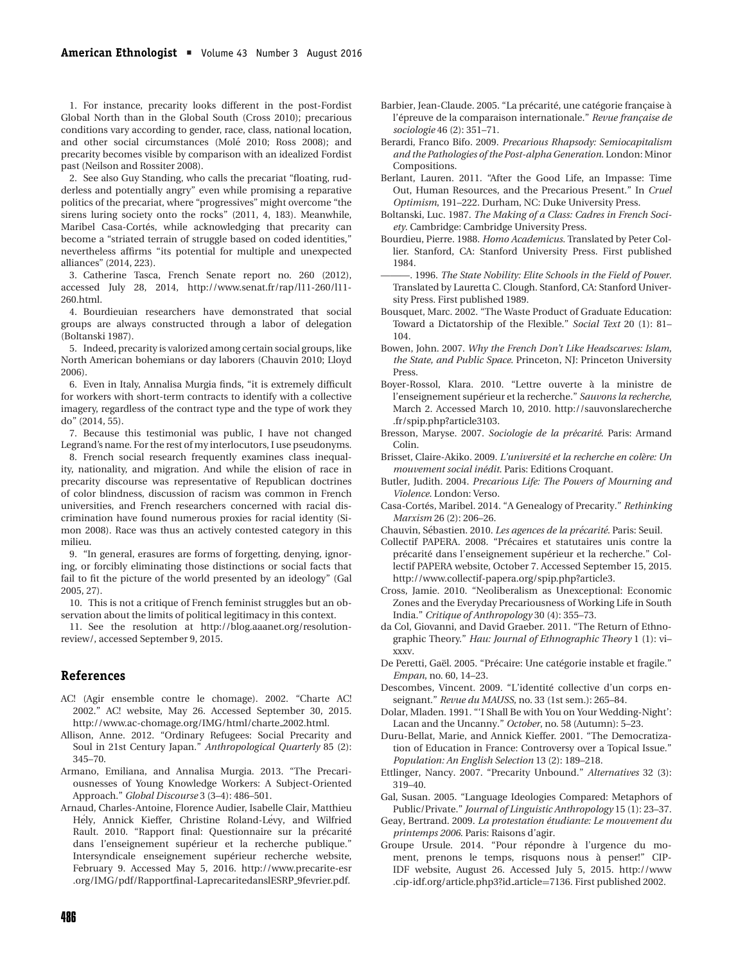1. For instance, precarity looks different in the post-Fordist Global North than in the Global South (Cross 2010); precarious conditions vary according to gender, race, class, national location, and other social circumstances (Mole 2010; Ross 2008); and ´ precarity becomes visible by comparison with an idealized Fordist past (Neilson and Rossiter 2008).

2. See also Guy Standing, who calls the precariat "floating, rudderless and potentially angry" even while promising a reparative politics of the precariat, where "progressives" might overcome "the sirens luring society onto the rocks" (2011, 4, 183). Meanwhile, Maribel Casa-Cortés, while acknowledging that precarity can become a "striated terrain of struggle based on coded identities," nevertheless affirms "its potential for multiple and unexpected alliances" (2014, 223).

3. Catherine Tasca, French Senate report no. 260 (2012), accessed July 28, 2014, http://www.senat.fr/rap/l11-260/l11- 260.html.

4. Bourdieuian researchers have demonstrated that social groups are always constructed through a labor of delegation (Boltanski 1987).

5. Indeed, precarity is valorized among certain social groups, like North American bohemians or day laborers (Chauvin 2010; Lloyd 2006).

6. Even in Italy, Annalisa Murgia finds, "it is extremely difficult for workers with short-term contracts to identify with a collective imagery, regardless of the contract type and the type of work they do" (2014, 55).

7. Because this testimonial was public, I have not changed Legrand's name. For the rest of my interlocutors, I use pseudonyms.

8. French social research frequently examines class inequality, nationality, and migration. And while the elision of race in precarity discourse was representative of Republican doctrines of color blindness, discussion of racism was common in French universities, and French researchers concerned with racial discrimination have found numerous proxies for racial identity (Simon 2008). Race was thus an actively contested category in this milieu.

9. "In general, erasures are forms of forgetting, denying, ignoring, or forcibly eliminating those distinctions or social facts that fail to fit the picture of the world presented by an ideology" (Gal 2005, 27).

10. This is not a critique of French feminist struggles but an observation about the limits of political legitimacy in this context.

11. See the resolution at http://blog.aaanet.org/resolutionreview/, accessed September 9, 2015.

## **References**

- AC! (Agir ensemble contre le chomage). 2002. "Charte AC! 2002." AC! website, May 26. Accessed September 30, 2015. http://www.ac-chomage.org/IMG/html/charte 2002.html.
- Allison, Anne. 2012. "Ordinary Refugees: Social Precarity and Soul in 21st Century Japan." *Anthropological Quarterly* 85 (2): 345–70.
- Armano, Emiliana, and Annalisa Murgia. 2013. "The Precariousnesses of Young Knowledge Workers: A Subject-Oriented Approach." *Global Discourse* 3 (3–4): 486–501.
- Arnaud, Charles-Antoine, Florence Audier, Isabelle Clair, Matthieu Hély, Annick Kieffer, Christine Roland-Lévy, and Wilfried Rault. 2010. "Rapport final: Questionnaire sur la précarité dans l'enseignement supérieur et la recherche publique." Intersyndicale enseignement supérieur recherche website, February 9. Accessed May 5, 2016. http://www.precarite-esr .org/IMG/pdf/Rapportfinal-LaprecaritedanslESRP 9fevrier.pdf.
- Barbier, Jean-Claude. 2005. "La précarité, une catégorie française à l'épreuve de la comparaison internationale." Revue française de *sociologie* 46 (2): 351–71.
- Berardi, Franco Bifo. 2009. *Precarious Rhapsody: Semiocapitalism and the Pathologies of the Post-alpha Generation*. London: Minor Compositions.
- Berlant, Lauren. 2011. "After the Good Life, an Impasse: Time Out, Human Resources, and the Precarious Present." In *Cruel Optimism*, 191–222. Durham, NC: Duke University Press.
- Boltanski, Luc. 1987. *The Making of a Class: Cadres in French Society*. Cambridge: Cambridge University Press.
- Bourdieu, Pierre. 1988. *Homo Academicus*. Translated by Peter Collier. Stanford, CA: Stanford University Press. First published 1984.
- ———. 1996. *The State Nobility: Elite Schools in the Field of Power*. Translated by Lauretta C. Clough. Stanford, CA: Stanford University Press. First published 1989.
- Bousquet, Marc. 2002. "The Waste Product of Graduate Education: Toward a Dictatorship of the Flexible." *Social Text* 20 (1): 81– 104.
- Bowen, John. 2007. *Why the French Don't Like Headscarves: Islam, the State, and Public Space*. Princeton, NJ: Princeton University Press.
- Boyer-Rossol, Klara. 2010. "Lettre ouverte a la ministre de ` l'enseignement supérieur et la recherche." Sauvons la recherche, March 2. Accessed March 10, 2010. http://sauvonslarecherche .fr/spip.php?article3103.
- Bresson, Maryse. 2007. *Sociologie de la précarité*. Paris: Armand Colin.
- Brisset, Claire-Akiko. 2009. *L'université et la recherche en colère: Un mouvement social inedit ´* . Paris: Editions Croquant.
- Butler, Judith. 2004. *Precarious Life: The Powers of Mourning and Violence*. London: Verso.
- Casa-Cortés, Maribel. 2014. "A Genealogy of Precarity." Rethinking *Marxism* 26 (2): 206–26.
- Chauvin, Sébastien. 2010. Les agences de la précarité. Paris: Seuil.
- Collectif PAPERA. 2008. "Précaires et statutaires unis contre la précarité dans l'enseignement supérieur et la recherche." Collectif PAPERA website, October 7. Accessed September 15, 2015. http://www.collectif-papera.org/spip.php?article3.
- Cross, Jamie. 2010. "Neoliberalism as Unexceptional: Economic Zones and the Everyday Precariousness of Working Life in South India." *Critique of Anthropology* 30 (4): 355–73.
- da Col, Giovanni, and David Graeber. 2011. "The Return of Ethnographic Theory." *Hau: Journal of Ethnographic Theory* 1 (1): vi– xxxv.
- De Peretti, Gaël. 2005. "Précaire: Une catégorie instable et fragile." *Empan*, no. 60, 14–23.
- Descombes, Vincent. 2009. "L'identité collective d'un corps enseignant." *Revue du MAUSS*, no. 33 (1st sem.): 265–84.
- Dolar, Mladen. 1991. "'I Shall Be with You on Your Wedding-Night': Lacan and the Uncanny." *October*, no. 58 (Autumn): 5–23.
- Duru-Bellat, Marie, and Annick Kieffer. 2001. "The Democratization of Education in France: Controversy over a Topical Issue." *Population: An English Selection* 13 (2): 189–218.
- Ettlinger, Nancy. 2007. "Precarity Unbound." *Alternatives* 32 (3): 319–40.
- Gal, Susan. 2005. "Language Ideologies Compared: Metaphors of Public/Private." *Journal of Linguistic Anthropology* 15 (1): 23–37.
- Geay, Bertrand. 2009. *La protestation etudiante: Le mouvement du ´ printemps 2006*. Paris: Raisons d'agir.
- Groupe Ursule. 2014. "Pour répondre à l'urgence du moment, prenons le temps, risquons nous à penser!" CIP-IDF website, August 26. Accessed July 5, 2015. http://www .cip-idf.org/article.php3?id article=7136. First published 2002.